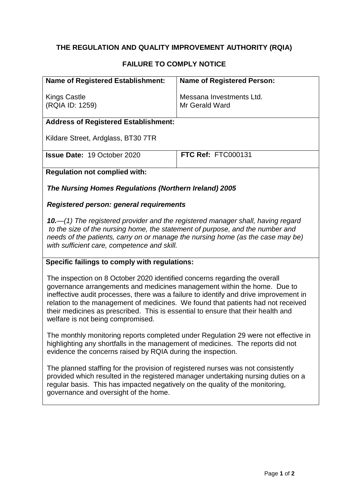# **THE REGULATION AND QUALITY IMPROVEMENT AUTHORITY (RQIA)**

## **FAILURE TO COMPLY NOTICE**

| <b>Name of Registered Establishment:</b>    | <b>Name of Registered Person:</b>          |
|---------------------------------------------|--------------------------------------------|
| <b>Kings Castle</b><br>(RQIA ID: 1259)      | Messana Investments Ltd.<br>Mr Gerald Ward |
| <b>Address of Registered Establishment:</b> |                                            |
| Kildare Street, Ardglass, BT30 7TR          |                                            |
| <b>Issue Date: 19 October 2020</b>          | <b>FTC Ref: FTC000131</b>                  |
| <b>Regulation not complied with:</b>        |                                            |
|                                             |                                            |

*The Nursing Homes Regulations (Northern Ireland) 2005*

#### *Registered person: general requirements*

*10.—(1) The registered provider and the registered manager shall, having regard to the size of the nursing home, the statement of purpose, and the number and needs of the patients, carry on or manage the nursing home (as the case may be) with sufficient care, competence and skill.*

#### **Specific failings to comply with regulations:**

The inspection on 8 October 2020 identified concerns regarding the overall governance arrangements and medicines management within the home. Due to ineffective audit processes, there was a failure to identify and drive improvement in relation to the management of medicines. We found that patients had not received their medicines as prescribed. This is essential to ensure that their health and welfare is not being compromised.

The monthly monitoring reports completed under Regulation 29 were not effective in highlighting any shortfalls in the management of medicines. The reports did not evidence the concerns raised by RQIA during the inspection.

The planned staffing for the provision of registered nurses was not consistently provided which resulted in the registered manager undertaking nursing duties on a regular basis. This has impacted negatively on the quality of the monitoring, governance and oversight of the home.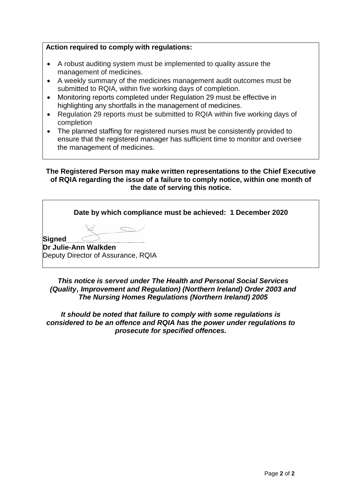## **Action required to comply with regulations:**

- A robust auditing system must be implemented to quality assure the management of medicines.
- A weekly summary of the medicines management audit outcomes must be submitted to RQIA, within five working days of completion.
- Monitoring reports completed under Regulation 29 must be effective in highlighting any shortfalls in the management of medicines.
- Regulation 29 reports must be submitted to RQIA within five working days of completion
- The planned staffing for registered nurses must be consistently provided to ensure that the registered manager has sufficient time to monitor and oversee the management of medicines.

### **The Registered Person may make written representations to the Chief Executive of RQIA regarding the issue of a failure to comply notice, within one month of the date of serving this notice.**

|        | Date by which compliance must be achieved: 1 December 2020 |
|--------|------------------------------------------------------------|
|        |                                                            |
| Signed | Dr Julie-Ann Walkden                                       |
|        | Deputy Director of Assurance, RQIA                         |

*This notice is served under The Health and Personal Social Services (Quality, Improvement and Regulation) (Northern Ireland) Order 2003 and The Nursing Homes Regulations (Northern Ireland) 2005*

*It should be noted that failure to comply with some regulations is considered to be an offence and RQIA has the power under regulations to prosecute for specified offences.*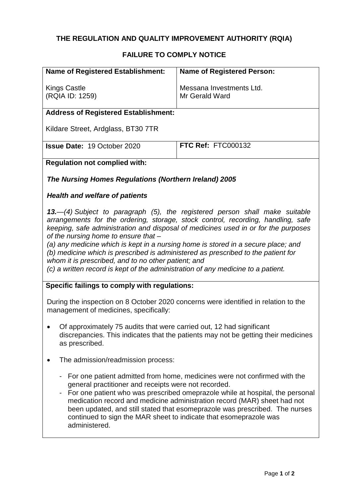# **THE REGULATION AND QUALITY IMPROVEMENT AUTHORITY (RQIA)**

# **FAILURE TO COMPLY NOTICE**

| <b>Name of Registered Establishment:</b>                                                                                                                                                                                                                                                                                                                                                                                                                                                                                                                                                                                                                            | <b>Name of Registered Person:</b>          |  |
|---------------------------------------------------------------------------------------------------------------------------------------------------------------------------------------------------------------------------------------------------------------------------------------------------------------------------------------------------------------------------------------------------------------------------------------------------------------------------------------------------------------------------------------------------------------------------------------------------------------------------------------------------------------------|--------------------------------------------|--|
|                                                                                                                                                                                                                                                                                                                                                                                                                                                                                                                                                                                                                                                                     |                                            |  |
| <b>Kings Castle</b><br>(RQIA ID: 1259)                                                                                                                                                                                                                                                                                                                                                                                                                                                                                                                                                                                                                              | Messana Investments Ltd.<br>Mr Gerald Ward |  |
|                                                                                                                                                                                                                                                                                                                                                                                                                                                                                                                                                                                                                                                                     |                                            |  |
| <b>Address of Registered Establishment:</b>                                                                                                                                                                                                                                                                                                                                                                                                                                                                                                                                                                                                                         |                                            |  |
| Kildare Street, Ardglass, BT30 7TR                                                                                                                                                                                                                                                                                                                                                                                                                                                                                                                                                                                                                                  |                                            |  |
| <b>Issue Date: 19 October 2020</b>                                                                                                                                                                                                                                                                                                                                                                                                                                                                                                                                                                                                                                  | <b>FTC Ref: FTC000132</b>                  |  |
| <b>Regulation not complied with:</b>                                                                                                                                                                                                                                                                                                                                                                                                                                                                                                                                                                                                                                |                                            |  |
| The Nursing Homes Regulations (Northern Ireland) 2005                                                                                                                                                                                                                                                                                                                                                                                                                                                                                                                                                                                                               |                                            |  |
| <b>Health and welfare of patients</b>                                                                                                                                                                                                                                                                                                                                                                                                                                                                                                                                                                                                                               |                                            |  |
| 13.—(4) Subject to paragraph (5), the registered person shall make suitable<br>arrangements for the ordering, storage, stock control, recording, handling, safe<br>keeping, safe administration and disposal of medicines used in or for the purposes<br>of the nursing home to ensure that -<br>(a) any medicine which is kept in a nursing home is stored in a secure place; and<br>(b) medicine which is prescribed is administered as prescribed to the patient for<br>whom it is prescribed, and to no other patient; and<br>(c) a written record is kept of the administration of any medicine to a patient.<br>Specific failings to comply with regulations: |                                            |  |
| During the inspection on 8 October 2020 concerns were identified in relation to the                                                                                                                                                                                                                                                                                                                                                                                                                                                                                                                                                                                 |                                            |  |
| management of medicines, specifically:                                                                                                                                                                                                                                                                                                                                                                                                                                                                                                                                                                                                                              |                                            |  |
| Of approximately 75 audits that were carried out, 12 had significant<br>discrepancies. This indicates that the patients may not be getting their medicines<br>as prescribed.                                                                                                                                                                                                                                                                                                                                                                                                                                                                                        |                                            |  |
| The admission/readmission process:                                                                                                                                                                                                                                                                                                                                                                                                                                                                                                                                                                                                                                  |                                            |  |
| For one patient admitted from home, medicines were not confirmed with the<br>general practitioner and receipts were not recorded.<br>For one patient who was prescribed omeprazole while at hospital, the personal<br>medication record and medicine administration record (MAR) sheet had not<br>been updated, and still stated that esomeprazole was prescribed. The nurses<br>continued to sign the MAR sheet to indicate that esomeprazole was<br>administered.                                                                                                                                                                                                 |                                            |  |